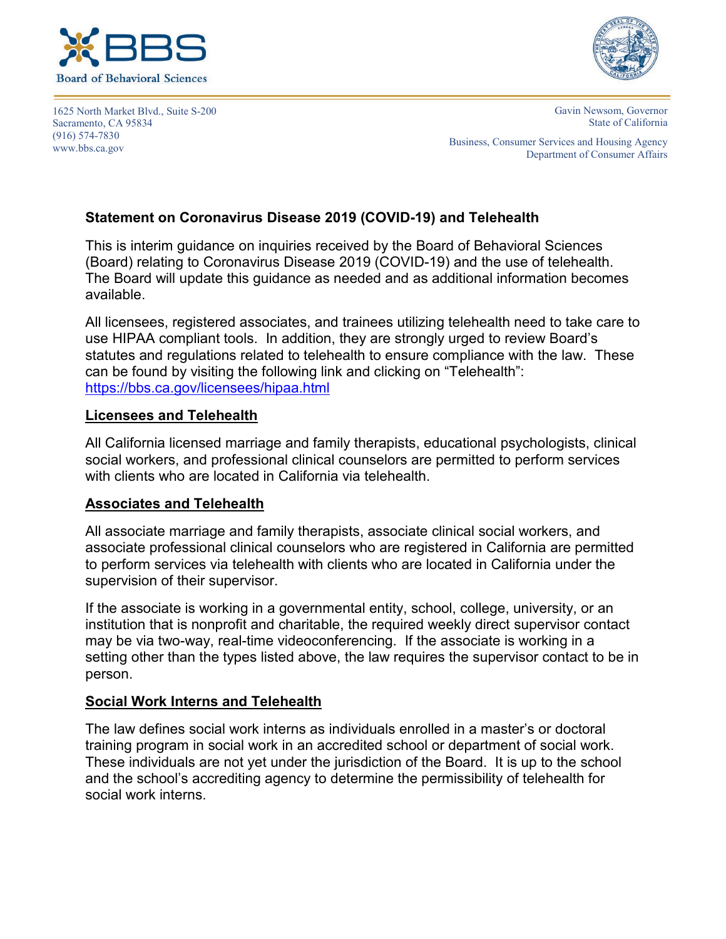



1625 North Market Blvd., Suite S-200 Sacramento, CA 95834 (916) 574-7830 www.bbs.ca.gov

Gavin Newsom, Governor State of California

Business, Consumer Services and Housing Agency Department of Consumer Affairs

# **Statement on Coronavirus Disease 2019 (COVID-19) and Telehealth**

This is interim guidance on inquiries received by the Board of Behavioral Sciences (Board) relating to Coronavirus Disease 2019 (COVID-19) and the use of telehealth. The Board will update this guidance as needed and as additional information becomes available.

All licensees, registered associates, and trainees utilizing telehealth need to take care to use HIPAA compliant tools. In addition, they are strongly urged to review Board's statutes and regulations related to telehealth to ensure compliance with the law. These can be found by visiting the following link and clicking on "Telehealth": https://bbs.ca.gov/licensees/hipaa.html

### **Licensees and Telehealth**

All California licensed marriage and family therapists, educational psychologists, clinical social workers, and professional clinical counselors are permitted to perform services with clients who are located in California via telehealth.

# **Associates and Telehealth**

All associate marriage and family therapists, associate clinical social workers, and associate professional clinical counselors who are registered in California are permitted to perform services via telehealth with clients who are located in California under the supervision of their supervisor.

If the associate is working in a governmental entity, school, college, university, or an institution that is nonprofit and charitable, the required weekly direct supervisor contact may be via two-way, real-time videoconferencing. If the associate is working in a setting other than the types listed above, the law requires the supervisor contact to be in person.

### **Social Work Interns and Telehealth**

The law defines social work interns as individuals enrolled in a master's or doctoral training program in social work in an accredited school or department of social work. These individuals are not yet under the jurisdiction of the Board. It is up to the school and the school's accrediting agency to determine the permissibility of telehealth for social work interns.